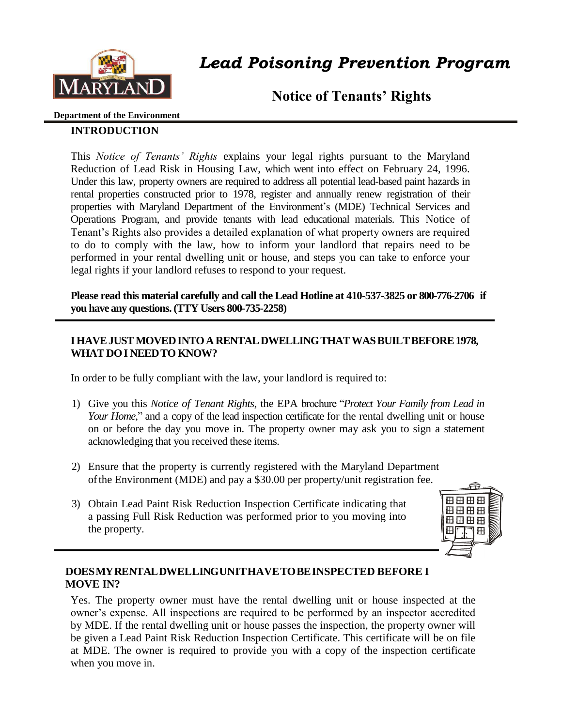

*Lead Poisoning Prevention Program* 

**Notice of Tenants' Rights**

#### **Department of the Environment**

## **INTRODUCTION**

This *Notice of Tenants' Rights* explains your legal rights pursuant to the Maryland Reduction of Lead Risk in Housing Law, which went into effect on February 24, 1996. Under this law, property owners are required to address all potential lead-based paint hazards in rental properties constructed prior to 1978, register and annually renew registration of their properties with Maryland Department of the Environment's (MDE) Technical Services and Operations Program, and provide tenants with lead educational materials. This Notice of Tenant's Rights also provides a detailed explanation of what property owners are required to do to comply with the law, how to inform your landlord that repairs need to be performed in your rental dwelling unit or house, and steps you can take to enforce your legal rights if your landlord refuses to respond to your request.

**Please read this material carefully and call the Lead Hotline at 410-537-3825 or 800-776-2706 if you have any questions. (TTY Users 800-735-2258)** 

#### **I HAVE JUST MOVED INTO A RENTAL DWELLING THAT WAS BUILT BEFORE 1978, WHAT DO I NEED TO KNOW?**

In order to be fully compliant with the law, your landlord is required to:

- 1) Give you this *Notice of Tenant Rights*, the EPA brochure "*Protect Your Family from Lead in Your Home*," and a copy of the lead inspection certificate for the rental dwelling unit or house on or before the day you move in. The property owner may ask you to sign a statement acknowledging that you received these items.
- 2) Ensure that the property is currently registered with the Maryland Department of the Environment (MDE) and pay a \$30.00 per property/unit registration fee.
- 3) Obtain Lead Paint Risk Reduction Inspection Certificate indicating that a passing Full Risk Reduction was performed prior to you moving into the property.



#### **DOES MYRENTAL DWELLING UNIT HAVE TOBEINSPECTED BEFORE I MOVE IN?**

Yes. The property owner must have the rental dwelling unit or house inspected at the owner's expense. All inspections are required to be performed by an inspector accredited by MDE. If the rental dwelling unit or house passes the inspection, the property owner will be given a Lead Paint Risk Reduction Inspection Certificate. This certificate will be on file at MDE. The owner is required to provide you with a copy of the inspection certificate when you move in.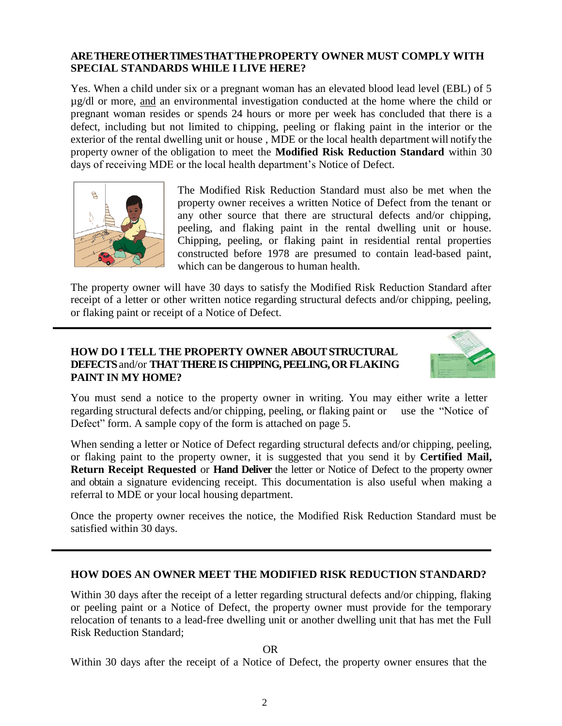#### **ARETHEREOTHERTIMESTHATTHEPROPERTY OWNER MUST COMPLY WITH SPECIAL STANDARDS WHILE I LIVE HERE?**

Yes. When a child under six or a pregnant woman has an elevated blood lead level (EBL) of 5 µg/dl or more, and an environmental investigation conducted at the home where the child or pregnant woman resides or spends 24 hours or more per week has concluded that there is a defect, including but not limited to chipping, peeling or flaking paint in the interior or the exterior of the rental dwelling unit or house , MDE or the local health department will notify the property owner of the obligation to meet the **Modified Risk Reduction Standard** within 30 days of receiving MDE or the local health department's Notice of Defect.



The Modified Risk Reduction Standard must also be met when the property owner receives a written Notice of Defect from the tenant or any other source that there are structural defects and/or chipping, peeling, and flaking paint in the rental dwelling unit or house. Chipping, peeling, or flaking paint in residential rental properties constructed before 1978 are presumed to contain lead-based paint, which can be dangerous to human health.

The property owner will have 30 days to satisfy the Modified Risk Reduction Standard after receipt of a letter or other written notice regarding structural defects and/or chipping, peeling, or flaking paint or receipt of a Notice of Defect.

#### **HOW DO I TELL THE PROPERTY OWNER ABOUT STRUCTURAL DEFECTS** and/or **THAT THERE IS CHIPPING, PEELING, OR FLAKING PAINT IN MY HOME?**



You must send a notice to the property owner in writing. You may either write a letter regarding structural defects and/or chipping, peeling, or flaking paint or use the "Notice of Defect" form. A sample copy of the form is attached on page 5.

When sending a letter or Notice of Defect regarding structural defects and/or chipping, peeling, or flaking paint to the property owner, it is suggested that you send it by **Certified Mail, Return Receipt Requested** or **Hand Deliver** the letter or Notice of Defect to the property owner and obtain a signature evidencing receipt. This documentation is also useful when making a referral to MDE or your local housing department.

Once the property owner receives the notice, the Modified Risk Reduction Standard must be satisfied within 30 days.

### **HOW DOES AN OWNER MEET THE MODIFIED RISK REDUCTION STANDARD?**

Within 30 days after the receipt of a letter regarding structural defects and/or chipping, flaking or peeling paint or a Notice of Defect, the property owner must provide for the temporary relocation of tenants to a lead-free dwelling unit or another dwelling unit that has met the Full Risk Reduction Standard;

OR

Within 30 days after the receipt of a Notice of Defect, the property owner ensures that the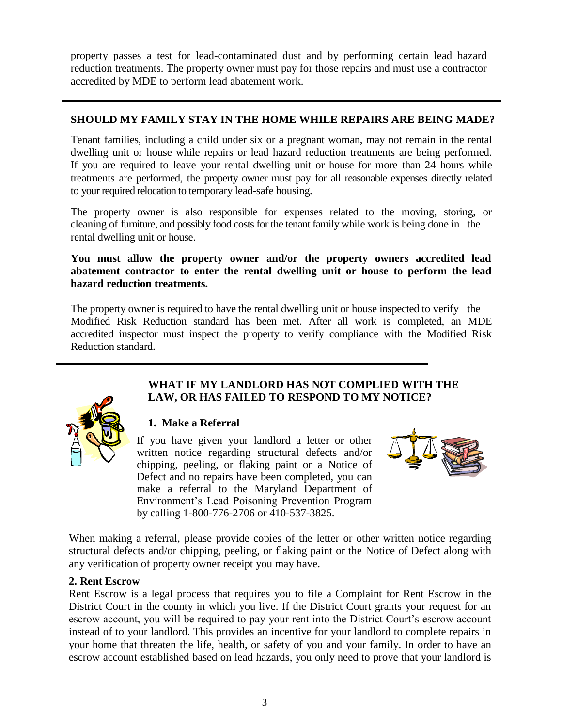property passes a test for lead-contaminated dust and by performing certain lead hazard reduction treatments. The property owner must pay for those repairs and must use a contractor accredited by MDE to perform lead abatement work.

#### **SHOULD MY FAMILY STAY IN THE HOME WHILE REPAIRS ARE BEING MADE?**

Tenant families, including a child under six or a pregnant woman, may not remain in the rental dwelling unit or house while repairs or lead hazard reduction treatments are being performed. If you are required to leave your rental dwelling unit or house for more than 24 hours while treatments are performed, the property owner must pay for all reasonable expenses directly related to your required relocation to temporary lead-safe housing.

The property owner is also responsible for expenses related to the moving, storing, or cleaning of furniture, and possibly food costs for the tenant family while work is being done in the rental dwelling unit or house.

**You must allow the property owner and/or the property owners accredited lead abatement contractor to enter the rental dwelling unit or house to perform the lead hazard reduction treatments.**

The property owner is required to have the rental dwelling unit or house inspected to verify the Modified Risk Reduction standard has been met. After all work is completed, an MDE accredited inspector must inspect the property to verify compliance with the Modified Risk Reduction standard.



#### **WHAT IF MY LANDLORD HAS NOT COMPLIED WITH THE LAW, OR HAS FAILED TO RESPOND TO MY NOTICE?**

# **1. Make a Referral**

If you have given your landlord a letter or other written notice regarding structural defects and/or chipping, peeling, or flaking paint or a Notice of Defect and no repairs have been completed, you can make a referral to the Maryland Department of Environment's Lead Poisoning Prevention Program by calling 1-800-776-2706 or 410-537-3825.



When making a referral, please provide copies of the letter or other written notice regarding structural defects and/or chipping, peeling, or flaking paint or the Notice of Defect along with any verification of property owner receipt you may have.

#### **2. Rent Escrow**

Rent Escrow is a legal process that requires you to file a Complaint for Rent Escrow in the District Court in the county in which you live. If the District Court grants your request for an escrow account, you will be required to pay your rent into the District Court's escrow account instead of to your landlord. This provides an incentive for your landlord to complete repairs in your home that threaten the life, health, or safety of you and your family. In order to have an escrow account established based on lead hazards, you only need to prove that your landlord is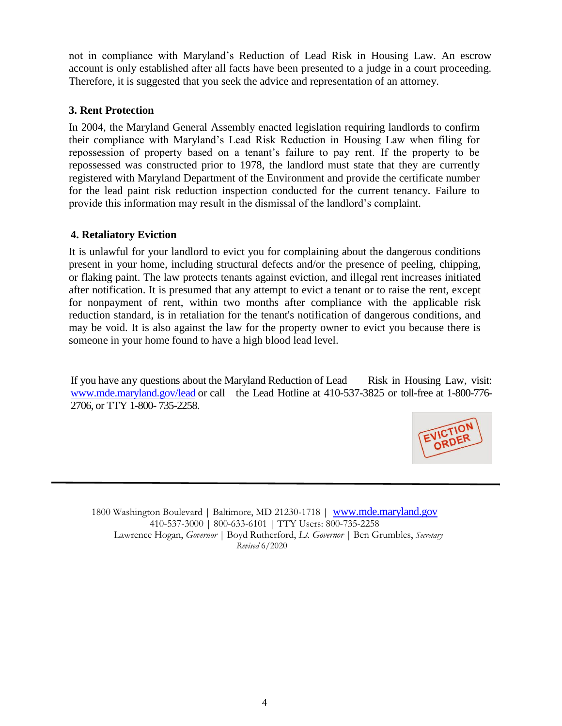not in compliance with Maryland's Reduction of Lead Risk in Housing Law. An escrow account is only established after all facts have been presented to a judge in a court proceeding. Therefore, it is suggested that you seek the advice and representation of an attorney.

### **3. Rent Protection**

In 2004, the Maryland General Assembly enacted legislation requiring landlords to confirm their compliance with Maryland's Lead Risk Reduction in Housing Law when filing for repossession of property based on a tenant's failure to pay rent. If the property to be repossessed was constructed prior to 1978, the landlord must state that they are currently registered with Maryland Department of the Environment and provide the certificate number for the lead paint risk reduction inspection conducted for the current tenancy. Failure to provide this information may result in the dismissal of the landlord's complaint.

### **4. Retaliatory Eviction**

It is unlawful for your landlord to evict you for complaining about the dangerous conditions present in your home, including structural defects and/or the presence of peeling, chipping, or flaking paint. The law protects tenants against eviction, and illegal rent increases initiated after notification. It is presumed that any attempt to evict a tenant or to raise the rent, except for nonpayment of rent, within two months after compliance with the applicable risk reduction standard, is in retaliation for the tenant's notification of dangerous conditions, and may be void. It is also against the law for the property owner to evict you because there is someone in your home found to have a high blood lead level.

If you have any questions about the Maryland Reduction of Lead Risk in Housing Law, visit: [www.mde.maryland.gov/lead](http://www.mde.maryland.gov/lead) or call the Lead Hotline at 410-537-3825 or toll-free at 1-800-776- 2706, or TTY 1-800- 735-2258.



1800 Washington Boulevard | Baltimore, MD 21230-1718 | [www.mde.maryland.gov](http://www.mde.maryland.gov/) 410-537-3000 | 800-633-6101 | TTY Users: 800-735-2258 Lawrence Hogan, *Governor* | Boyd Rutherford, *Lt. Governor* | Ben Grumbles, *Secretary Revised* 6/2020